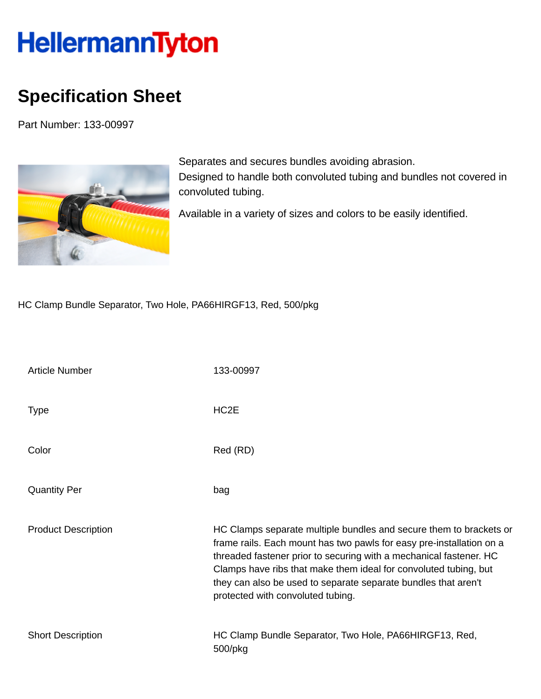## HellermannTyton

## **Specification Sheet**

Part Number: 133-00997



Separates and secures bundles avoiding abrasion. Designed to handle both convoluted tubing and bundles not covered in convoluted tubing.

Available in a variety of sizes and colors to be easily identified.

HC Clamp Bundle Separator, Two Hole, PA66HIRGF13, Red, 500/pkg

| <b>Article Number</b>      | 133-00997                                                                                                                                                                                                                                                                                                                                                                                   |
|----------------------------|---------------------------------------------------------------------------------------------------------------------------------------------------------------------------------------------------------------------------------------------------------------------------------------------------------------------------------------------------------------------------------------------|
| <b>Type</b>                | HC <sub>2</sub> E                                                                                                                                                                                                                                                                                                                                                                           |
| Color                      | Red (RD)                                                                                                                                                                                                                                                                                                                                                                                    |
| <b>Quantity Per</b>        | bag                                                                                                                                                                                                                                                                                                                                                                                         |
| <b>Product Description</b> | HC Clamps separate multiple bundles and secure them to brackets or<br>frame rails. Each mount has two pawls for easy pre-installation on a<br>threaded fastener prior to securing with a mechanical fastener. HC<br>Clamps have ribs that make them ideal for convoluted tubing, but<br>they can also be used to separate separate bundles that aren't<br>protected with convoluted tubing. |
| <b>Short Description</b>   | HC Clamp Bundle Separator, Two Hole, PA66HIRGF13, Red,<br>500/pkg                                                                                                                                                                                                                                                                                                                           |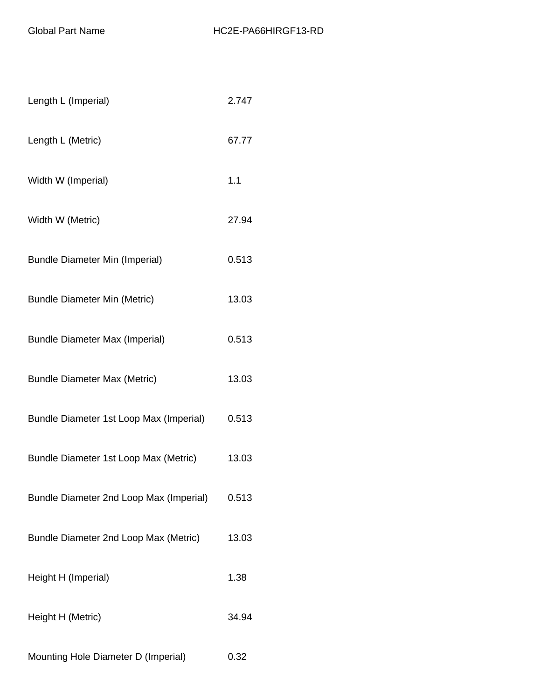| Length L (Imperial)                     | 2.747 |
|-----------------------------------------|-------|
| Length L (Metric)                       | 67.77 |
| Width W (Imperial)                      | 1.1   |
| Width W (Metric)                        | 27.94 |
| <b>Bundle Diameter Min (Imperial)</b>   | 0.513 |
| <b>Bundle Diameter Min (Metric)</b>     | 13.03 |
| <b>Bundle Diameter Max (Imperial)</b>   | 0.513 |
| <b>Bundle Diameter Max (Metric)</b>     | 13.03 |
| Bundle Diameter 1st Loop Max (Imperial) | 0.513 |
| Bundle Diameter 1st Loop Max (Metric)   | 13.03 |
| Bundle Diameter 2nd Loop Max (Imperial) | 0.513 |
| Bundle Diameter 2nd Loop Max (Metric)   | 13.03 |
| Height H (Imperial)                     | 1.38  |
| Height H (Metric)                       | 34.94 |
| Mounting Hole Diameter D (Imperial)     | 0.32  |